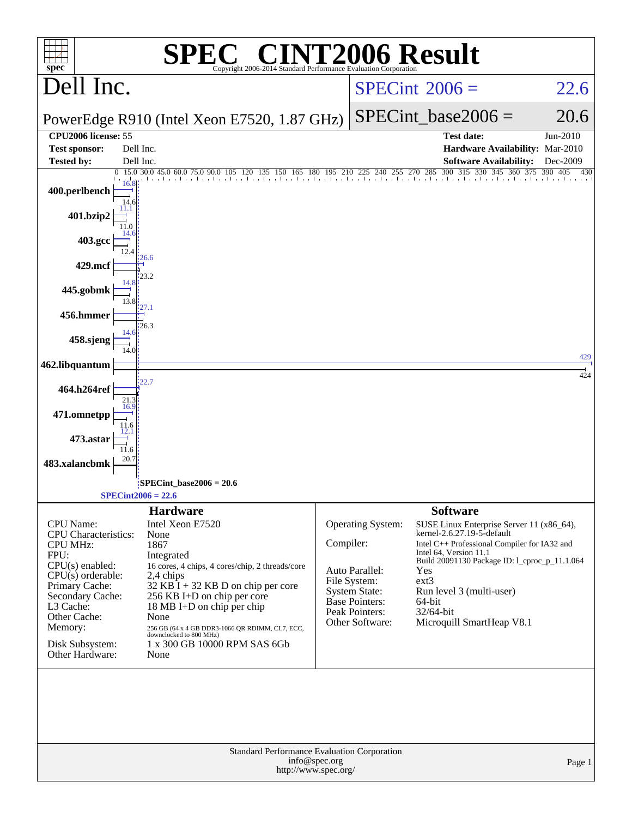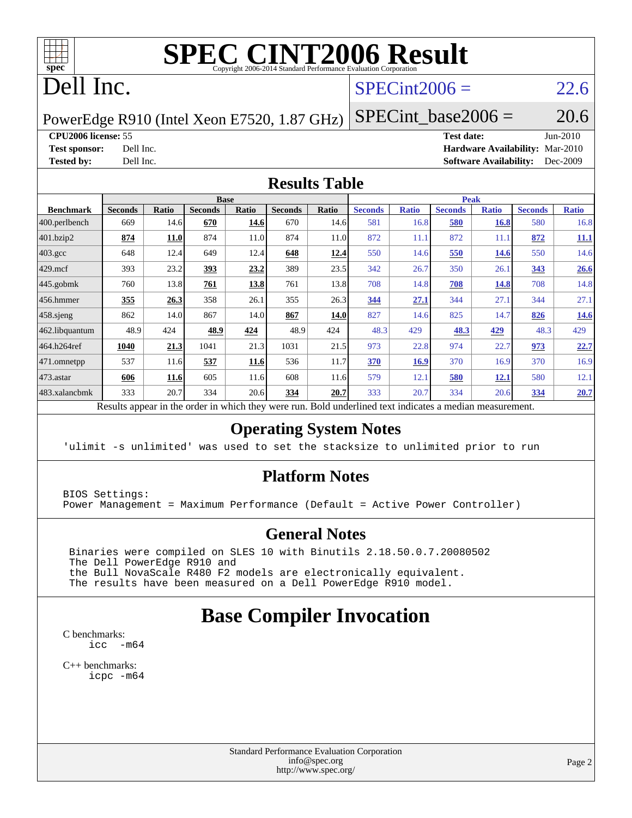

# **[SPEC CINT2006 Result](http://www.spec.org/auto/cpu2006/Docs/result-fields.html#SPECCINT2006Result)**

# Dell Inc.

#### $SPECint2006 = 22.6$  $SPECint2006 = 22.6$

PowerEdge R910 (Intel Xeon E7520, 1.87 GHz)

**[CPU2006 license:](http://www.spec.org/auto/cpu2006/Docs/result-fields.html#CPU2006license)** 55 **[Test date:](http://www.spec.org/auto/cpu2006/Docs/result-fields.html#Testdate)** Jun-2010 **[Test sponsor:](http://www.spec.org/auto/cpu2006/Docs/result-fields.html#Testsponsor)** Dell Inc. **[Hardware Availability:](http://www.spec.org/auto/cpu2006/Docs/result-fields.html#HardwareAvailability)** Mar-2010 **[Tested by:](http://www.spec.org/auto/cpu2006/Docs/result-fields.html#Testedby)** Dell Inc. **[Software Availability:](http://www.spec.org/auto/cpu2006/Docs/result-fields.html#SoftwareAvailability)** Dec-2009

 $SPECTnt\_base2006 = 20.6$ 

#### **[Results Table](http://www.spec.org/auto/cpu2006/Docs/result-fields.html#ResultsTable)**

|                    |                |             | <b>Base</b>    |              |                |       |                |              | <b>Peak</b>    |              |                |              |
|--------------------|----------------|-------------|----------------|--------------|----------------|-------|----------------|--------------|----------------|--------------|----------------|--------------|
| <b>Benchmark</b>   | <b>Seconds</b> | Ratio       | <b>Seconds</b> | <b>Ratio</b> | <b>Seconds</b> | Ratio | <b>Seconds</b> | <b>Ratio</b> | <b>Seconds</b> | <b>Ratio</b> | <b>Seconds</b> | <b>Ratio</b> |
| 400.perlbench      | 669            | 14.6        | 670            | 14.6         | 670            | 14.6  | 581            | 16.8         | <u>580</u>     | 16.8         | 580            | 16.8         |
| 401.bzip2          | 874            | <b>11.0</b> | 874            | 11.0         | 874            | 11.0  | 872            | 11.1         | 872            | 11.1         | 872            | <b>11.1</b>  |
| $403.\mathrm{gcc}$ | 648            | 12.4        | 649            | 12.4         | 648            | 12.4  | 550            | 14.6         | 550            | 14.6         | 550            | 14.6         |
| $429$ .mcf         | 393            | 23.2        | 393            | 23.2         | 389            | 23.5  | 342            | 26.7         | 350            | 26.1         | 343            | 26.6         |
| 445.gobmk          | 760            | 13.8        | 761            | <u>13.8</u>  | 761            | 13.8  | 708            | 14.8         | 708            | <u>14.8</u>  | 708            | 14.8         |
| 456.hmmer          | 355            | 26.3        | 358            | 26.1         | 355            | 26.3  | 344            | 27.1         | 344            | 27.1         | 344            | 27.1         |
| $458$ .sjeng       | 862            | 14.0        | 867            | 14.0         | 867            | 14.0  | 827            | 14.6         | 825            | 14.7         | 826            | 14.6         |
| 462.libquantum     | 48.9           | 424         | 48.9           | 424          | 48.9           | 424   | 48.3           | 429          | 48.3           | 429          | 48.3           | 429          |
| 464.h264ref        | 1040           | 21.3        | 1041           | 21.3         | 1031           | 21.5  | 973            | 22.8         | 974            | 22.7         | 973            | 22.7         |
| 471.omnetpp        | 537            | 11.6        | 537            | 11.6         | 536            | 11.7  | 370            | 16.9         | 370            | 16.9         | 370            | 16.9         |
| $473.$ astar       | 606            | 11.6        | 605            | 11.6         | 608            | 11.6  | 579            | 12.1         | 580            | <u>12.1</u>  | 580            | 12.1         |
| 483.xalancbmk      | 333            | 20.7        | 334            | 20.6         | 334            | 20.7  | 333            | 20.7         | 334            | 20.6         | 334            | 20.7         |

Results appear in the [order in which they were run.](http://www.spec.org/auto/cpu2006/Docs/result-fields.html#RunOrder) Bold underlined text [indicates a median measurement.](http://www.spec.org/auto/cpu2006/Docs/result-fields.html#Median)

#### **[Operating System Notes](http://www.spec.org/auto/cpu2006/Docs/result-fields.html#OperatingSystemNotes)**

'ulimit -s unlimited' was used to set the stacksize to unlimited prior to run

#### **[Platform Notes](http://www.spec.org/auto/cpu2006/Docs/result-fields.html#PlatformNotes)**

BIOS Settings: Power Management = Maximum Performance (Default = Active Power Controller)

#### **[General Notes](http://www.spec.org/auto/cpu2006/Docs/result-fields.html#GeneralNotes)**

 Binaries were compiled on SLES 10 with Binutils 2.18.50.0.7.20080502 The Dell PowerEdge R910 and the Bull NovaScale R480 F2 models are electronically equivalent. The results have been measured on a Dell PowerEdge R910 model.

## **[Base Compiler Invocation](http://www.spec.org/auto/cpu2006/Docs/result-fields.html#BaseCompilerInvocation)**

[C benchmarks](http://www.spec.org/auto/cpu2006/Docs/result-fields.html#Cbenchmarks): [icc -m64](http://www.spec.org/cpu2006/results/res2010q3/cpu2006-20100621-11928.flags.html#user_CCbase_intel_icc_64bit_f346026e86af2a669e726fe758c88044)

[C++ benchmarks:](http://www.spec.org/auto/cpu2006/Docs/result-fields.html#CXXbenchmarks) [icpc -m64](http://www.spec.org/cpu2006/results/res2010q3/cpu2006-20100621-11928.flags.html#user_CXXbase_intel_icpc_64bit_fc66a5337ce925472a5c54ad6a0de310)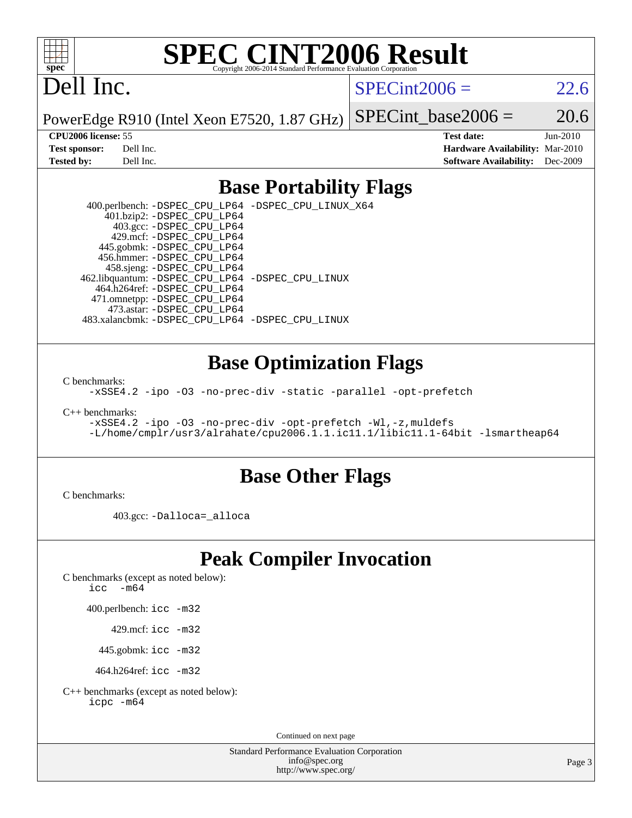

# **[SPEC CINT2006 Result](http://www.spec.org/auto/cpu2006/Docs/result-fields.html#SPECCINT2006Result)**

# Dell Inc.

 $SPECint2006 = 22.6$  $SPECint2006 = 22.6$ 

PowerEdge R910 (Intel Xeon E7520, 1.87 GHz) SPECint base2006 =  $20.6$ 

**[CPU2006 license:](http://www.spec.org/auto/cpu2006/Docs/result-fields.html#CPU2006license)** 55 **[Test date:](http://www.spec.org/auto/cpu2006/Docs/result-fields.html#Testdate)** Jun-2010 **[Test sponsor:](http://www.spec.org/auto/cpu2006/Docs/result-fields.html#Testsponsor)** Dell Inc. **[Hardware Availability:](http://www.spec.org/auto/cpu2006/Docs/result-fields.html#HardwareAvailability)** Mar-2010 **[Tested by:](http://www.spec.org/auto/cpu2006/Docs/result-fields.html#Testedby)** Dell Inc. **[Software Availability:](http://www.spec.org/auto/cpu2006/Docs/result-fields.html#SoftwareAvailability)** Dec-2009

#### **[Base Portability Flags](http://www.spec.org/auto/cpu2006/Docs/result-fields.html#BasePortabilityFlags)**

 400.perlbench: [-DSPEC\\_CPU\\_LP64](http://www.spec.org/cpu2006/results/res2010q3/cpu2006-20100621-11928.flags.html#b400.perlbench_basePORTABILITY_DSPEC_CPU_LP64) [-DSPEC\\_CPU\\_LINUX\\_X64](http://www.spec.org/cpu2006/results/res2010q3/cpu2006-20100621-11928.flags.html#b400.perlbench_baseCPORTABILITY_DSPEC_CPU_LINUX_X64) 401.bzip2: [-DSPEC\\_CPU\\_LP64](http://www.spec.org/cpu2006/results/res2010q3/cpu2006-20100621-11928.flags.html#suite_basePORTABILITY401_bzip2_DSPEC_CPU_LP64) 403.gcc: [-DSPEC\\_CPU\\_LP64](http://www.spec.org/cpu2006/results/res2010q3/cpu2006-20100621-11928.flags.html#suite_basePORTABILITY403_gcc_DSPEC_CPU_LP64) 429.mcf: [-DSPEC\\_CPU\\_LP64](http://www.spec.org/cpu2006/results/res2010q3/cpu2006-20100621-11928.flags.html#suite_basePORTABILITY429_mcf_DSPEC_CPU_LP64) 445.gobmk: [-DSPEC\\_CPU\\_LP64](http://www.spec.org/cpu2006/results/res2010q3/cpu2006-20100621-11928.flags.html#suite_basePORTABILITY445_gobmk_DSPEC_CPU_LP64) 456.hmmer: [-DSPEC\\_CPU\\_LP64](http://www.spec.org/cpu2006/results/res2010q3/cpu2006-20100621-11928.flags.html#suite_basePORTABILITY456_hmmer_DSPEC_CPU_LP64) 458.sjeng: [-DSPEC\\_CPU\\_LP64](http://www.spec.org/cpu2006/results/res2010q3/cpu2006-20100621-11928.flags.html#suite_basePORTABILITY458_sjeng_DSPEC_CPU_LP64) 462.libquantum: [-DSPEC\\_CPU\\_LP64](http://www.spec.org/cpu2006/results/res2010q3/cpu2006-20100621-11928.flags.html#suite_basePORTABILITY462_libquantum_DSPEC_CPU_LP64) [-DSPEC\\_CPU\\_LINUX](http://www.spec.org/cpu2006/results/res2010q3/cpu2006-20100621-11928.flags.html#b462.libquantum_baseCPORTABILITY_DSPEC_CPU_LINUX) 464.h264ref: [-DSPEC\\_CPU\\_LP64](http://www.spec.org/cpu2006/results/res2010q3/cpu2006-20100621-11928.flags.html#suite_basePORTABILITY464_h264ref_DSPEC_CPU_LP64) 471.omnetpp: [-DSPEC\\_CPU\\_LP64](http://www.spec.org/cpu2006/results/res2010q3/cpu2006-20100621-11928.flags.html#suite_basePORTABILITY471_omnetpp_DSPEC_CPU_LP64) 473.astar: [-DSPEC\\_CPU\\_LP64](http://www.spec.org/cpu2006/results/res2010q3/cpu2006-20100621-11928.flags.html#suite_basePORTABILITY473_astar_DSPEC_CPU_LP64) 483.xalancbmk: [-DSPEC\\_CPU\\_LP64](http://www.spec.org/cpu2006/results/res2010q3/cpu2006-20100621-11928.flags.html#suite_basePORTABILITY483_xalancbmk_DSPEC_CPU_LP64) [-DSPEC\\_CPU\\_LINUX](http://www.spec.org/cpu2006/results/res2010q3/cpu2006-20100621-11928.flags.html#b483.xalancbmk_baseCXXPORTABILITY_DSPEC_CPU_LINUX)

#### **[Base Optimization Flags](http://www.spec.org/auto/cpu2006/Docs/result-fields.html#BaseOptimizationFlags)**

[C benchmarks](http://www.spec.org/auto/cpu2006/Docs/result-fields.html#Cbenchmarks):

[-xSSE4.2](http://www.spec.org/cpu2006/results/res2010q3/cpu2006-20100621-11928.flags.html#user_CCbase_f-xSSE42_f91528193cf0b216347adb8b939d4107) [-ipo](http://www.spec.org/cpu2006/results/res2010q3/cpu2006-20100621-11928.flags.html#user_CCbase_f-ipo) [-O3](http://www.spec.org/cpu2006/results/res2010q3/cpu2006-20100621-11928.flags.html#user_CCbase_f-O3) [-no-prec-div](http://www.spec.org/cpu2006/results/res2010q3/cpu2006-20100621-11928.flags.html#user_CCbase_f-no-prec-div) [-static](http://www.spec.org/cpu2006/results/res2010q3/cpu2006-20100621-11928.flags.html#user_CCbase_f-static) [-parallel](http://www.spec.org/cpu2006/results/res2010q3/cpu2006-20100621-11928.flags.html#user_CCbase_f-parallel) [-opt-prefetch](http://www.spec.org/cpu2006/results/res2010q3/cpu2006-20100621-11928.flags.html#user_CCbase_f-opt-prefetch)

[C++ benchmarks:](http://www.spec.org/auto/cpu2006/Docs/result-fields.html#CXXbenchmarks)

[-xSSE4.2](http://www.spec.org/cpu2006/results/res2010q3/cpu2006-20100621-11928.flags.html#user_CXXbase_f-xSSE42_f91528193cf0b216347adb8b939d4107) [-ipo](http://www.spec.org/cpu2006/results/res2010q3/cpu2006-20100621-11928.flags.html#user_CXXbase_f-ipo) [-O3](http://www.spec.org/cpu2006/results/res2010q3/cpu2006-20100621-11928.flags.html#user_CXXbase_f-O3) [-no-prec-div](http://www.spec.org/cpu2006/results/res2010q3/cpu2006-20100621-11928.flags.html#user_CXXbase_f-no-prec-div) [-opt-prefetch](http://www.spec.org/cpu2006/results/res2010q3/cpu2006-20100621-11928.flags.html#user_CXXbase_f-opt-prefetch) [-Wl,-z,muldefs](http://www.spec.org/cpu2006/results/res2010q3/cpu2006-20100621-11928.flags.html#user_CXXbase_link_force_multiple1_74079c344b956b9658436fd1b6dd3a8a) [-L/home/cmplr/usr3/alrahate/cpu2006.1.1.ic11.1/libic11.1-64bit -lsmartheap64](http://www.spec.org/cpu2006/results/res2010q3/cpu2006-20100621-11928.flags.html#user_CXXbase_SmartHeap64_e2306cda84805d1ab360117a79ff779c)

#### **[Base Other Flags](http://www.spec.org/auto/cpu2006/Docs/result-fields.html#BaseOtherFlags)**

[C benchmarks](http://www.spec.org/auto/cpu2006/Docs/result-fields.html#Cbenchmarks):

403.gcc: [-Dalloca=\\_alloca](http://www.spec.org/cpu2006/results/res2010q3/cpu2006-20100621-11928.flags.html#b403.gcc_baseEXTRA_CFLAGS_Dalloca_be3056838c12de2578596ca5467af7f3)

## **[Peak Compiler Invocation](http://www.spec.org/auto/cpu2006/Docs/result-fields.html#PeakCompilerInvocation)**

[C benchmarks \(except as noted below\)](http://www.spec.org/auto/cpu2006/Docs/result-fields.html#Cbenchmarksexceptasnotedbelow):

[icc -m64](http://www.spec.org/cpu2006/results/res2010q3/cpu2006-20100621-11928.flags.html#user_CCpeak_intel_icc_64bit_f346026e86af2a669e726fe758c88044)

400.perlbench: [icc -m32](http://www.spec.org/cpu2006/results/res2010q3/cpu2006-20100621-11928.flags.html#user_peakCCLD400_perlbench_intel_icc_32bit_a6a621f8d50482236b970c6ac5f55f93)

429.mcf: [icc -m32](http://www.spec.org/cpu2006/results/res2010q3/cpu2006-20100621-11928.flags.html#user_peakCCLD429_mcf_intel_icc_32bit_a6a621f8d50482236b970c6ac5f55f93)

445.gobmk: [icc -m32](http://www.spec.org/cpu2006/results/res2010q3/cpu2006-20100621-11928.flags.html#user_peakCCLD445_gobmk_intel_icc_32bit_a6a621f8d50482236b970c6ac5f55f93)

464.h264ref: [icc -m32](http://www.spec.org/cpu2006/results/res2010q3/cpu2006-20100621-11928.flags.html#user_peakCCLD464_h264ref_intel_icc_32bit_a6a621f8d50482236b970c6ac5f55f93)

[C++ benchmarks \(except as noted below\):](http://www.spec.org/auto/cpu2006/Docs/result-fields.html#CXXbenchmarksexceptasnotedbelow) [icpc -m64](http://www.spec.org/cpu2006/results/res2010q3/cpu2006-20100621-11928.flags.html#user_CXXpeak_intel_icpc_64bit_fc66a5337ce925472a5c54ad6a0de310)

Continued on next page

Standard Performance Evaluation Corporation [info@spec.org](mailto:info@spec.org) <http://www.spec.org/>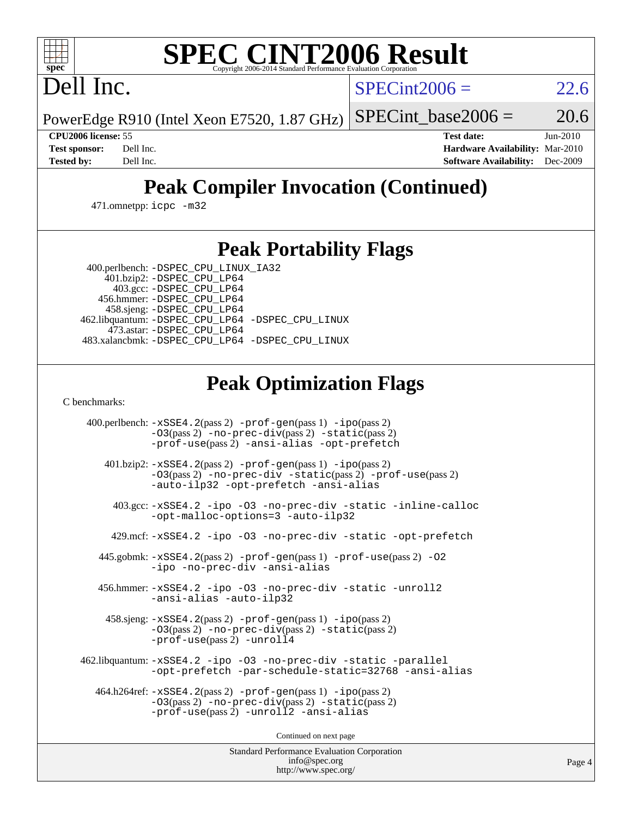# **[SPEC CINT2006 Result](http://www.spec.org/auto/cpu2006/Docs/result-fields.html#SPECCINT2006Result)**

Dell Inc.

 $SPECint2006 = 22.6$  $SPECint2006 = 22.6$ 

PowerEdge R910 (Intel Xeon E7520, 1.87 GHz) SPECint base2006 =  $20.6$ 

**[CPU2006 license:](http://www.spec.org/auto/cpu2006/Docs/result-fields.html#CPU2006license)** 55 **[Test date:](http://www.spec.org/auto/cpu2006/Docs/result-fields.html#Testdate)** Jun-2010 **[Test sponsor:](http://www.spec.org/auto/cpu2006/Docs/result-fields.html#Testsponsor)** Dell Inc. **[Hardware Availability:](http://www.spec.org/auto/cpu2006/Docs/result-fields.html#HardwareAvailability)** Mar-2010 **[Tested by:](http://www.spec.org/auto/cpu2006/Docs/result-fields.html#Testedby)** Dell Inc. **[Software Availability:](http://www.spec.org/auto/cpu2006/Docs/result-fields.html#SoftwareAvailability)** Dec-2009

# **[Peak Compiler Invocation \(Continued\)](http://www.spec.org/auto/cpu2006/Docs/result-fields.html#PeakCompilerInvocation)**

471.omnetpp: [icpc -m32](http://www.spec.org/cpu2006/results/res2010q3/cpu2006-20100621-11928.flags.html#user_peakCXXLD471_omnetpp_intel_icpc_32bit_4e5a5ef1a53fd332b3c49e69c3330699)

### **[Peak Portability Flags](http://www.spec.org/auto/cpu2006/Docs/result-fields.html#PeakPortabilityFlags)**

 400.perlbench: [-DSPEC\\_CPU\\_LINUX\\_IA32](http://www.spec.org/cpu2006/results/res2010q3/cpu2006-20100621-11928.flags.html#b400.perlbench_peakCPORTABILITY_DSPEC_CPU_LINUX_IA32) 401.bzip2: [-DSPEC\\_CPU\\_LP64](http://www.spec.org/cpu2006/results/res2010q3/cpu2006-20100621-11928.flags.html#suite_peakPORTABILITY401_bzip2_DSPEC_CPU_LP64)

 403.gcc: [-DSPEC\\_CPU\\_LP64](http://www.spec.org/cpu2006/results/res2010q3/cpu2006-20100621-11928.flags.html#suite_peakPORTABILITY403_gcc_DSPEC_CPU_LP64) 456.hmmer: [-DSPEC\\_CPU\\_LP64](http://www.spec.org/cpu2006/results/res2010q3/cpu2006-20100621-11928.flags.html#suite_peakPORTABILITY456_hmmer_DSPEC_CPU_LP64) 458.sjeng: [-DSPEC\\_CPU\\_LP64](http://www.spec.org/cpu2006/results/res2010q3/cpu2006-20100621-11928.flags.html#suite_peakPORTABILITY458_sjeng_DSPEC_CPU_LP64) 462.libquantum: [-DSPEC\\_CPU\\_LP64](http://www.spec.org/cpu2006/results/res2010q3/cpu2006-20100621-11928.flags.html#suite_peakPORTABILITY462_libquantum_DSPEC_CPU_LP64) [-DSPEC\\_CPU\\_LINUX](http://www.spec.org/cpu2006/results/res2010q3/cpu2006-20100621-11928.flags.html#b462.libquantum_peakCPORTABILITY_DSPEC_CPU_LINUX) 473.astar: [-DSPEC\\_CPU\\_LP64](http://www.spec.org/cpu2006/results/res2010q3/cpu2006-20100621-11928.flags.html#suite_peakPORTABILITY473_astar_DSPEC_CPU_LP64) 483.xalancbmk: [-DSPEC\\_CPU\\_LP64](http://www.spec.org/cpu2006/results/res2010q3/cpu2006-20100621-11928.flags.html#suite_peakPORTABILITY483_xalancbmk_DSPEC_CPU_LP64) [-DSPEC\\_CPU\\_LINUX](http://www.spec.org/cpu2006/results/res2010q3/cpu2006-20100621-11928.flags.html#b483.xalancbmk_peakCXXPORTABILITY_DSPEC_CPU_LINUX)

# **[Peak Optimization Flags](http://www.spec.org/auto/cpu2006/Docs/result-fields.html#PeakOptimizationFlags)**

[C benchmarks](http://www.spec.org/auto/cpu2006/Docs/result-fields.html#Cbenchmarks):

 400.perlbench: [-xSSE4.2](http://www.spec.org/cpu2006/results/res2010q3/cpu2006-20100621-11928.flags.html#user_peakPASS2_CFLAGSPASS2_LDCFLAGS400_perlbench_f-xSSE42_f91528193cf0b216347adb8b939d4107)(pass 2) [-prof-gen](http://www.spec.org/cpu2006/results/res2010q3/cpu2006-20100621-11928.flags.html#user_peakPASS1_CFLAGSPASS1_LDCFLAGS400_perlbench_prof_gen_e43856698f6ca7b7e442dfd80e94a8fc)(pass 1) [-ipo](http://www.spec.org/cpu2006/results/res2010q3/cpu2006-20100621-11928.flags.html#user_peakPASS2_CFLAGSPASS2_LDCFLAGS400_perlbench_f-ipo)(pass 2) [-O3](http://www.spec.org/cpu2006/results/res2010q3/cpu2006-20100621-11928.flags.html#user_peakPASS2_CFLAGSPASS2_LDCFLAGS400_perlbench_f-O3)(pass 2) [-no-prec-div](http://www.spec.org/cpu2006/results/res2010q3/cpu2006-20100621-11928.flags.html#user_peakPASS2_CFLAGSPASS2_LDCFLAGS400_perlbench_f-no-prec-div)(pass 2) [-static](http://www.spec.org/cpu2006/results/res2010q3/cpu2006-20100621-11928.flags.html#user_peakPASS2_CFLAGSPASS2_LDCFLAGS400_perlbench_f-static)(pass 2) [-prof-use](http://www.spec.org/cpu2006/results/res2010q3/cpu2006-20100621-11928.flags.html#user_peakPASS2_CFLAGSPASS2_LDCFLAGS400_perlbench_prof_use_bccf7792157ff70d64e32fe3e1250b55)(pass 2) [-ansi-alias](http://www.spec.org/cpu2006/results/res2010q3/cpu2006-20100621-11928.flags.html#user_peakCOPTIMIZE400_perlbench_f-ansi-alias) [-opt-prefetch](http://www.spec.org/cpu2006/results/res2010q3/cpu2006-20100621-11928.flags.html#user_peakCOPTIMIZE400_perlbench_f-opt-prefetch) 401.bzip2: [-xSSE4.2](http://www.spec.org/cpu2006/results/res2010q3/cpu2006-20100621-11928.flags.html#user_peakPASS2_CFLAGSPASS2_LDCFLAGS401_bzip2_f-xSSE42_f91528193cf0b216347adb8b939d4107)(pass 2) [-prof-gen](http://www.spec.org/cpu2006/results/res2010q3/cpu2006-20100621-11928.flags.html#user_peakPASS1_CFLAGSPASS1_LDCFLAGS401_bzip2_prof_gen_e43856698f6ca7b7e442dfd80e94a8fc)(pass 1) [-ipo](http://www.spec.org/cpu2006/results/res2010q3/cpu2006-20100621-11928.flags.html#user_peakPASS2_CFLAGSPASS2_LDCFLAGS401_bzip2_f-ipo)(pass 2) [-O3](http://www.spec.org/cpu2006/results/res2010q3/cpu2006-20100621-11928.flags.html#user_peakPASS2_CFLAGSPASS2_LDCFLAGS401_bzip2_f-O3)(pass 2) [-no-prec-div](http://www.spec.org/cpu2006/results/res2010q3/cpu2006-20100621-11928.flags.html#user_peakCOPTIMIZEPASS2_CFLAGSPASS2_LDCFLAGS401_bzip2_f-no-prec-div) [-static](http://www.spec.org/cpu2006/results/res2010q3/cpu2006-20100621-11928.flags.html#user_peakPASS2_CFLAGSPASS2_LDCFLAGS401_bzip2_f-static)(pass 2) [-prof-use](http://www.spec.org/cpu2006/results/res2010q3/cpu2006-20100621-11928.flags.html#user_peakPASS2_CFLAGSPASS2_LDCFLAGS401_bzip2_prof_use_bccf7792157ff70d64e32fe3e1250b55)(pass 2) [-auto-ilp32](http://www.spec.org/cpu2006/results/res2010q3/cpu2006-20100621-11928.flags.html#user_peakCOPTIMIZE401_bzip2_f-auto-ilp32) [-opt-prefetch](http://www.spec.org/cpu2006/results/res2010q3/cpu2006-20100621-11928.flags.html#user_peakCOPTIMIZE401_bzip2_f-opt-prefetch) [-ansi-alias](http://www.spec.org/cpu2006/results/res2010q3/cpu2006-20100621-11928.flags.html#user_peakCOPTIMIZE401_bzip2_f-ansi-alias) 403.gcc: [-xSSE4.2](http://www.spec.org/cpu2006/results/res2010q3/cpu2006-20100621-11928.flags.html#user_peakCOPTIMIZE403_gcc_f-xSSE42_f91528193cf0b216347adb8b939d4107) [-ipo](http://www.spec.org/cpu2006/results/res2010q3/cpu2006-20100621-11928.flags.html#user_peakCOPTIMIZE403_gcc_f-ipo) [-O3](http://www.spec.org/cpu2006/results/res2010q3/cpu2006-20100621-11928.flags.html#user_peakCOPTIMIZE403_gcc_f-O3) [-no-prec-div](http://www.spec.org/cpu2006/results/res2010q3/cpu2006-20100621-11928.flags.html#user_peakCOPTIMIZE403_gcc_f-no-prec-div) [-static](http://www.spec.org/cpu2006/results/res2010q3/cpu2006-20100621-11928.flags.html#user_peakCOPTIMIZE403_gcc_f-static) [-inline-calloc](http://www.spec.org/cpu2006/results/res2010q3/cpu2006-20100621-11928.flags.html#user_peakCOPTIMIZE403_gcc_f-inline-calloc) [-opt-malloc-options=3](http://www.spec.org/cpu2006/results/res2010q3/cpu2006-20100621-11928.flags.html#user_peakCOPTIMIZE403_gcc_f-opt-malloc-options_13ab9b803cf986b4ee62f0a5998c2238) [-auto-ilp32](http://www.spec.org/cpu2006/results/res2010q3/cpu2006-20100621-11928.flags.html#user_peakCOPTIMIZE403_gcc_f-auto-ilp32) 429.mcf: [-xSSE4.2](http://www.spec.org/cpu2006/results/res2010q3/cpu2006-20100621-11928.flags.html#user_peakCOPTIMIZE429_mcf_f-xSSE42_f91528193cf0b216347adb8b939d4107) [-ipo](http://www.spec.org/cpu2006/results/res2010q3/cpu2006-20100621-11928.flags.html#user_peakCOPTIMIZE429_mcf_f-ipo) [-O3](http://www.spec.org/cpu2006/results/res2010q3/cpu2006-20100621-11928.flags.html#user_peakCOPTIMIZE429_mcf_f-O3) [-no-prec-div](http://www.spec.org/cpu2006/results/res2010q3/cpu2006-20100621-11928.flags.html#user_peakCOPTIMIZE429_mcf_f-no-prec-div) [-static](http://www.spec.org/cpu2006/results/res2010q3/cpu2006-20100621-11928.flags.html#user_peakCOPTIMIZE429_mcf_f-static) [-opt-prefetch](http://www.spec.org/cpu2006/results/res2010q3/cpu2006-20100621-11928.flags.html#user_peakCOPTIMIZE429_mcf_f-opt-prefetch) 445.gobmk: [-xSSE4.2](http://www.spec.org/cpu2006/results/res2010q3/cpu2006-20100621-11928.flags.html#user_peakPASS2_CFLAGSPASS2_LDCFLAGS445_gobmk_f-xSSE42_f91528193cf0b216347adb8b939d4107)(pass 2) [-prof-gen](http://www.spec.org/cpu2006/results/res2010q3/cpu2006-20100621-11928.flags.html#user_peakPASS1_CFLAGSPASS1_LDCFLAGS445_gobmk_prof_gen_e43856698f6ca7b7e442dfd80e94a8fc)(pass 1) [-prof-use](http://www.spec.org/cpu2006/results/res2010q3/cpu2006-20100621-11928.flags.html#user_peakPASS2_CFLAGSPASS2_LDCFLAGS445_gobmk_prof_use_bccf7792157ff70d64e32fe3e1250b55)(pass 2) [-O2](http://www.spec.org/cpu2006/results/res2010q3/cpu2006-20100621-11928.flags.html#user_peakCOPTIMIZE445_gobmk_f-O2) [-ipo](http://www.spec.org/cpu2006/results/res2010q3/cpu2006-20100621-11928.flags.html#user_peakCOPTIMIZE445_gobmk_f-ipo) [-no-prec-div](http://www.spec.org/cpu2006/results/res2010q3/cpu2006-20100621-11928.flags.html#user_peakCOPTIMIZE445_gobmk_f-no-prec-div) [-ansi-alias](http://www.spec.org/cpu2006/results/res2010q3/cpu2006-20100621-11928.flags.html#user_peakCOPTIMIZE445_gobmk_f-ansi-alias) 456.hmmer: [-xSSE4.2](http://www.spec.org/cpu2006/results/res2010q3/cpu2006-20100621-11928.flags.html#user_peakCOPTIMIZE456_hmmer_f-xSSE42_f91528193cf0b216347adb8b939d4107) [-ipo](http://www.spec.org/cpu2006/results/res2010q3/cpu2006-20100621-11928.flags.html#user_peakCOPTIMIZE456_hmmer_f-ipo) [-O3](http://www.spec.org/cpu2006/results/res2010q3/cpu2006-20100621-11928.flags.html#user_peakCOPTIMIZE456_hmmer_f-O3) [-no-prec-div](http://www.spec.org/cpu2006/results/res2010q3/cpu2006-20100621-11928.flags.html#user_peakCOPTIMIZE456_hmmer_f-no-prec-div) [-static](http://www.spec.org/cpu2006/results/res2010q3/cpu2006-20100621-11928.flags.html#user_peakCOPTIMIZE456_hmmer_f-static) [-unroll2](http://www.spec.org/cpu2006/results/res2010q3/cpu2006-20100621-11928.flags.html#user_peakCOPTIMIZE456_hmmer_f-unroll_784dae83bebfb236979b41d2422d7ec2) [-ansi-alias](http://www.spec.org/cpu2006/results/res2010q3/cpu2006-20100621-11928.flags.html#user_peakCOPTIMIZE456_hmmer_f-ansi-alias) [-auto-ilp32](http://www.spec.org/cpu2006/results/res2010q3/cpu2006-20100621-11928.flags.html#user_peakCOPTIMIZE456_hmmer_f-auto-ilp32) 458.sjeng: [-xSSE4.2](http://www.spec.org/cpu2006/results/res2010q3/cpu2006-20100621-11928.flags.html#user_peakPASS2_CFLAGSPASS2_LDCFLAGS458_sjeng_f-xSSE42_f91528193cf0b216347adb8b939d4107)(pass 2) [-prof-gen](http://www.spec.org/cpu2006/results/res2010q3/cpu2006-20100621-11928.flags.html#user_peakPASS1_CFLAGSPASS1_LDCFLAGS458_sjeng_prof_gen_e43856698f6ca7b7e442dfd80e94a8fc)(pass 1) [-ipo](http://www.spec.org/cpu2006/results/res2010q3/cpu2006-20100621-11928.flags.html#user_peakPASS2_CFLAGSPASS2_LDCFLAGS458_sjeng_f-ipo)(pass 2) [-O3](http://www.spec.org/cpu2006/results/res2010q3/cpu2006-20100621-11928.flags.html#user_peakPASS2_CFLAGSPASS2_LDCFLAGS458_sjeng_f-O3)(pass 2) [-no-prec-div](http://www.spec.org/cpu2006/results/res2010q3/cpu2006-20100621-11928.flags.html#user_peakPASS2_CFLAGSPASS2_LDCFLAGS458_sjeng_f-no-prec-div)(pass 2) [-static](http://www.spec.org/cpu2006/results/res2010q3/cpu2006-20100621-11928.flags.html#user_peakPASS2_CFLAGSPASS2_LDCFLAGS458_sjeng_f-static)(pass 2) [-prof-use](http://www.spec.org/cpu2006/results/res2010q3/cpu2006-20100621-11928.flags.html#user_peakPASS2_CFLAGSPASS2_LDCFLAGS458_sjeng_prof_use_bccf7792157ff70d64e32fe3e1250b55)(pass 2) [-unroll4](http://www.spec.org/cpu2006/results/res2010q3/cpu2006-20100621-11928.flags.html#user_peakCOPTIMIZE458_sjeng_f-unroll_4e5e4ed65b7fd20bdcd365bec371b81f) 462.libquantum: [-xSSE4.2](http://www.spec.org/cpu2006/results/res2010q3/cpu2006-20100621-11928.flags.html#user_peakCOPTIMIZE462_libquantum_f-xSSE42_f91528193cf0b216347adb8b939d4107) [-ipo](http://www.spec.org/cpu2006/results/res2010q3/cpu2006-20100621-11928.flags.html#user_peakCOPTIMIZE462_libquantum_f-ipo) [-O3](http://www.spec.org/cpu2006/results/res2010q3/cpu2006-20100621-11928.flags.html#user_peakCOPTIMIZE462_libquantum_f-O3) [-no-prec-div](http://www.spec.org/cpu2006/results/res2010q3/cpu2006-20100621-11928.flags.html#user_peakCOPTIMIZE462_libquantum_f-no-prec-div) [-static](http://www.spec.org/cpu2006/results/res2010q3/cpu2006-20100621-11928.flags.html#user_peakCOPTIMIZE462_libquantum_f-static) [-parallel](http://www.spec.org/cpu2006/results/res2010q3/cpu2006-20100621-11928.flags.html#user_peakCOPTIMIZE462_libquantum_f-parallel) [-opt-prefetch](http://www.spec.org/cpu2006/results/res2010q3/cpu2006-20100621-11928.flags.html#user_peakCOPTIMIZE462_libquantum_f-opt-prefetch) [-par-schedule-static=32768](http://www.spec.org/cpu2006/results/res2010q3/cpu2006-20100621-11928.flags.html#user_peakCOPTIMIZE462_libquantum_f-par-schedule_9386bcd99ba64e99ee01d1aafefddd14) [-ansi-alias](http://www.spec.org/cpu2006/results/res2010q3/cpu2006-20100621-11928.flags.html#user_peakCOPTIMIZE462_libquantum_f-ansi-alias) 464.h264ref: [-xSSE4.2](http://www.spec.org/cpu2006/results/res2010q3/cpu2006-20100621-11928.flags.html#user_peakPASS2_CFLAGSPASS2_LDCFLAGS464_h264ref_f-xSSE42_f91528193cf0b216347adb8b939d4107)(pass 2) [-prof-gen](http://www.spec.org/cpu2006/results/res2010q3/cpu2006-20100621-11928.flags.html#user_peakPASS1_CFLAGSPASS1_LDCFLAGS464_h264ref_prof_gen_e43856698f6ca7b7e442dfd80e94a8fc)(pass 1) [-ipo](http://www.spec.org/cpu2006/results/res2010q3/cpu2006-20100621-11928.flags.html#user_peakPASS2_CFLAGSPASS2_LDCFLAGS464_h264ref_f-ipo)(pass 2) [-O3](http://www.spec.org/cpu2006/results/res2010q3/cpu2006-20100621-11928.flags.html#user_peakPASS2_CFLAGSPASS2_LDCFLAGS464_h264ref_f-O3)(pass 2) [-no-prec-div](http://www.spec.org/cpu2006/results/res2010q3/cpu2006-20100621-11928.flags.html#user_peakPASS2_CFLAGSPASS2_LDCFLAGS464_h264ref_f-no-prec-div)(pass 2) [-static](http://www.spec.org/cpu2006/results/res2010q3/cpu2006-20100621-11928.flags.html#user_peakPASS2_CFLAGSPASS2_LDCFLAGS464_h264ref_f-static)(pass 2) [-prof-use](http://www.spec.org/cpu2006/results/res2010q3/cpu2006-20100621-11928.flags.html#user_peakPASS2_CFLAGSPASS2_LDCFLAGS464_h264ref_prof_use_bccf7792157ff70d64e32fe3e1250b55)(pass 2) [-unroll2](http://www.spec.org/cpu2006/results/res2010q3/cpu2006-20100621-11928.flags.html#user_peakCOPTIMIZE464_h264ref_f-unroll_784dae83bebfb236979b41d2422d7ec2) [-ansi-alias](http://www.spec.org/cpu2006/results/res2010q3/cpu2006-20100621-11928.flags.html#user_peakCOPTIMIZE464_h264ref_f-ansi-alias)

Continued on next page

Standard Performance Evaluation Corporation [info@spec.org](mailto:info@spec.org) <http://www.spec.org/>